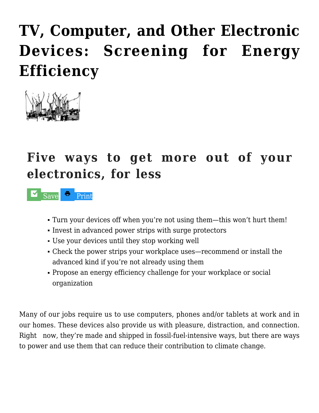## **[TV, Computer, and Other Electronic](http://livableri.org/homes/tv-computer-and-other-electronic-devices-screening-for-energy-efficiency/) [Devices: Screening for Energy](http://livableri.org/homes/tv-computer-and-other-electronic-devices-screening-for-energy-efficiency/) [Efficiency](http://livableri.org/homes/tv-computer-and-other-electronic-devices-screening-for-energy-efficiency/)**



## **Five ways to get more out of your electronics, for less**

 $\sim$  [Save Print](https://checklist.com)

- Turn your devices off when you're not using them—this won't hurt them!
- Invest in advanced power strips with surge protectors
- Use your devices until they stop working well
- Check the power strips your workplace uses—recommend or install the advanced kind if you're not already using them
- Propose an energy efficiency challenge for your workplace or social organization

Many of our jobs require us to use computers, phones and/or tablets at work and in our homes. These devices also provide us with pleasure, distraction, and connection. Right now, they're made and shipped in fossil-fuel-intensive ways, but there are ways to power and use them that can reduce their contribution to climate change.